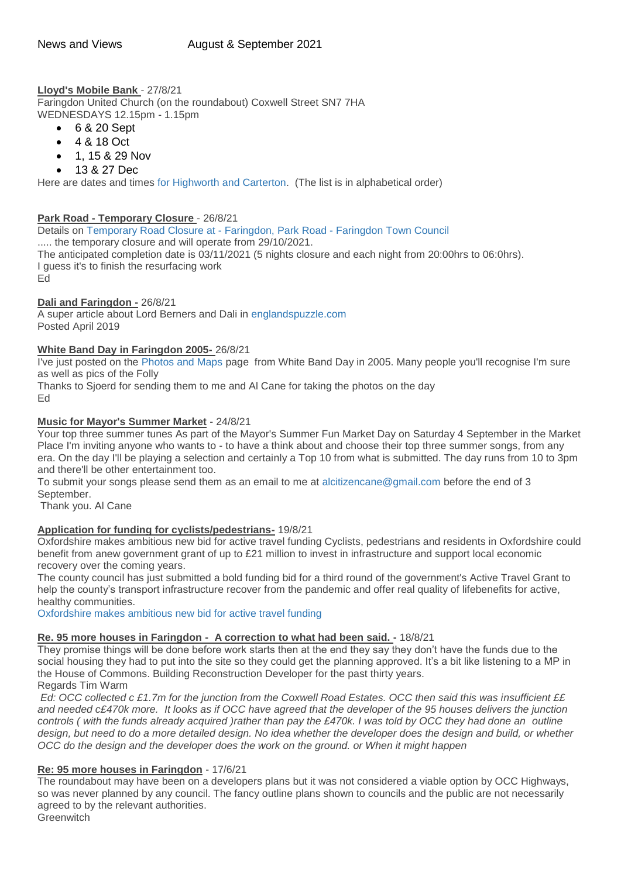**Lloyd's Mobile Bank** - 27/8/21 Faringdon United Church (on the roundabout) Coxwell Street SN7 7HA WEDNESDAYS 12.15pm - 1.15pm

- 6 & 20 Sept
- 4 & 18 Oct
- 1, 15 & 29 Nov
- 13 & 27 Dec

Here are dates and times [for Highworth and Carterton.](https://www.lloydsbank.com/banking-with-us/mobile-branch/south-east.html#Highworth) (The list is in alphabetical order)

# **Park Road - Temporary Closure** - 26/8/21

Details on [Temporary Road Closure at -](https://www.faringdontowncouncil.gov.uk/temporary-road-closure-at-faringdon-park-road/) Faringdon, Park Road - Faringdon Town Council ..... the temporary closure and will operate from 29/10/2021. The anticipated completion date is 03/11/2021 (5 nights closure and each night from 20:00hrs to 06:0hrs). I guess it's to finish the resurfacing work Ed

### **Dali and Faringdon -** 26/8/21

A super article about Lord Berners and Dali in [englandspuzzle.com](https://englandspuzzle.com/a-folly-a-deep-sea-diver-coloured-pigeons-the-last-english-eccentric-lord-berners/?fbclid=IwAR27MRZ9ZZCnMXzoQ-3BtD-lloEDLNykB4-VKbR_P6tSMY-J7zlwzTASi3k) Posted April 2019

### **White Band Day in Faringdon 2005-** 26/8/21

I've just posted on the [Photos and Maps](http://weebly-link/360619722353593333) page from White Band Day in 2005. Many people you'll recognise I'm sure as well as pics of the Folly

Thanks to Sjoerd for sending them to me and Al Cane for taking the photos on the day Ed

### **Music for Mayor's Summer Market** - 24/8/21

Your top three summer tunes As part of the Mayor's Summer Fun Market Day on Saturday 4 September in the Market Place I'm inviting anyone who wants to - to have a think about and choose their top three summer songs, from any era. On the day I'll be playing a selection and certainly a Top 10 from what is submitted. The day runs from 10 to 3pm and there'll be other entertainment too.

To submit your songs please send them as an email to me at [alcitizencane@gmail.com](mailto:alcitizencane@gmail.com) before the end of 3 September.

Thank you. Al Cane

# **Application for funding for cyclists/pedestrians-** 19/8/21

Oxfordshire makes ambitious new bid for active travel funding Cyclists, pedestrians and residents in Oxfordshire could benefit from anew government grant of up to £21 million to invest in infrastructure and support local economic recovery over the coming years.

The county council has just submitted a bold funding bid for a third round of the government's Active Travel Grant to help the county's transport infrastructure recover from the pandemic and offer real quality of lifebenefits for active, healthy communities.

[Oxfordshire makes ambitious new bid for active travel funding](https://news.oxfordshire.gov.uk/bid-for-active-travel-fund/)

# **Re. 95 more houses in Faringdon - A correction to what had been said. -** 18/8/21

They promise things will be done before work starts then at the end they say they don't have the funds due to the social housing they had to put into the site so they could get the planning approved. It's a bit like listening to a MP in the House of Commons. Building Reconstruction Developer for the past thirty years. Regards Tim Warm

*Ed: OCC collected c £1.7m for the junction from the Coxwell Road Estates. OCC then said this was insufficient ££ and needed c£470k more. It looks as if OCC have agreed that the developer of the 95 houses delivers the junction controls ( with the funds already acquired )rather than pay the £470k. I was told by OCC they had done an outline design, but need to do a more detailed design. No idea whether the developer does the design and build, or whether OCC do the design and the developer does the work on the ground. or When it might happen*

# **Re: 95 more houses in Faringdon** - 17/6/21

The roundabout may have been on a developers plans but it was not considered a viable option by OCC Highways, so was never planned by any council. The fancy outline plans shown to councils and the public are not necessarily agreed to by the relevant authorities.

**Greenwitch**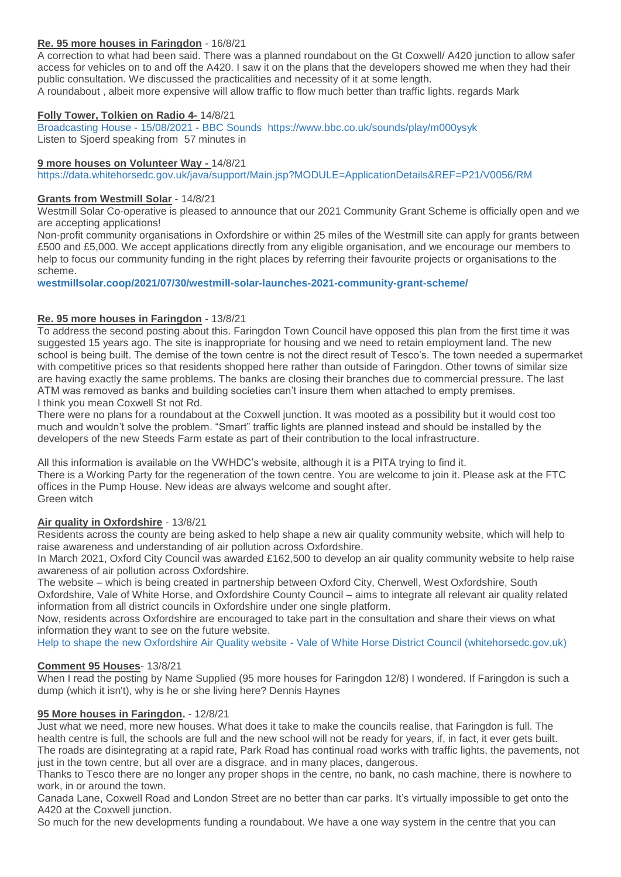# **Re. 95 more houses in Faringdon** - 16/8/21

A correction to what had been said. There was a planned roundabout on the Gt Coxwell/ A420 junction to allow safer access for vehicles on to and off the A420. I saw it on the plans that the developers showed me when they had their public consultation. We discussed the practicalities and necessity of it at some length. A roundabout , albeit more expensive will allow traffic to flow much better than traffic lights. regards Mark

# **Folly Tower, Tolkien on Radio 4-** 14/8/21

[Broadcasting House -](https://www.bbc.co.uk/sounds/play/m000ysyk) 15/08/2021 - BBC Sounds <https://www.bbc.co.uk/sounds/play/m000ysyk> Listen to Sjoerd speaking from 57 minutes in

## **9 more houses on Volunteer Way -** 14/8/21

<https://data.whitehorsedc.gov.uk/java/support/Main.jsp?MODULE=ApplicationDetails&REF=P21/V0056/RM>

## **Grants from Westmill Solar** - 14/8/21

Westmill Solar Co-operative is pleased to announce that our 2021 Community Grant Scheme is officially open and we are accepting applications!

Non-profit community organisations in Oxfordshire or within 25 miles of the Westmill site can apply for grants between £500 and £5,000. We accept applications directly from any eligible organisation, and we encourage our members to help to focus our community funding in the right places by referring their favourite projects or organisations to the scheme.

**[westmillsolar.coop/2021/07/30/westmill-solar-launches-2021-community-grant-scheme/](http://westmillsolar.coop/2021/07/30/westmill-solar-launches-2021-community-grant-scheme/)**

# **Re. 95 more houses in Faringdon** - 13/8/21

To address the second posting about this. Faringdon Town Council have opposed this plan from the first time it was suggested 15 years ago. The site is inappropriate for housing and we need to retain employment land. The new school is being built. The demise of the town centre is not the direct result of Tesco's. The town needed a supermarket with competitive prices so that residents shopped here rather than outside of Faringdon. Other towns of similar size are having exactly the same problems. The banks are closing their branches due to commercial pressure. The last ATM was removed as banks and building societies can't insure them when attached to empty premises. I think you mean Coxwell St not Rd.

There were no plans for a roundabout at the Coxwell junction. It was mooted as a possibility but it would cost too much and wouldn't solve the problem. "Smart" traffic lights are planned instead and should be installed by the developers of the new Steeds Farm estate as part of their contribution to the local infrastructure.

All this information is available on the VWHDC's website, although it is a PITA trying to find it. There is a Working Party for the regeneration of the town centre. You are welcome to join it. Please ask at the FTC offices in the Pump House. New ideas are always welcome and sought after. Green witch

# **Air quality in Oxfordshire** - 13/8/21

Residents across the county are being asked to help shape a new air quality community website, which will help to raise awareness and understanding of air pollution across Oxfordshire.

In March 2021, Oxford City Council was awarded £162,500 to develop an air quality community website to help raise awareness of air pollution across Oxfordshire.

The website – which is being created in partnership between Oxford City, Cherwell, West Oxfordshire, South Oxfordshire, Vale of White Horse, and Oxfordshire County Council – aims to integrate all relevant air quality related information from all district councils in Oxfordshire under one single platform.

Now, residents across Oxfordshire are encouraged to take part in the consultation and share their views on what information they want to see on the future website.

Help to shape the new Oxfordshire Air Quality website - [Vale of White Horse District Council \(whitehorsedc.gov.uk\)](https://www.whitehorsedc.gov.uk/climate-emergency/help-to-shape-the-new-oxfordshire-air-quality-website/)

# **Comment 95 Houses**- 13/8/21

When I read the posting by Name Supplied (95 more houses for Faringdon 12/8) I wondered. If Faringdon is such a dump (which it isn't), why is he or she living here? Dennis Haynes

# **95 More houses in Faringdon.** - 12/8/21

Just what we need, more new houses. What does it take to make the councils realise, that Faringdon is full. The health centre is full, the schools are full and the new school will not be ready for years, if, in fact, it ever gets built. The roads are disintegrating at a rapid rate, Park Road has continual road works with traffic lights, the pavements, not just in the town centre, but all over are a disgrace, and in many places, dangerous.

Thanks to Tesco there are no longer any proper shops in the centre, no bank, no cash machine, there is nowhere to work, in or around the town.

Canada Lane, Coxwell Road and London Street are no better than car parks. It's virtually impossible to get onto the A420 at the Coxwell junction.

So much for the new developments funding a roundabout. We have a one way system in the centre that you can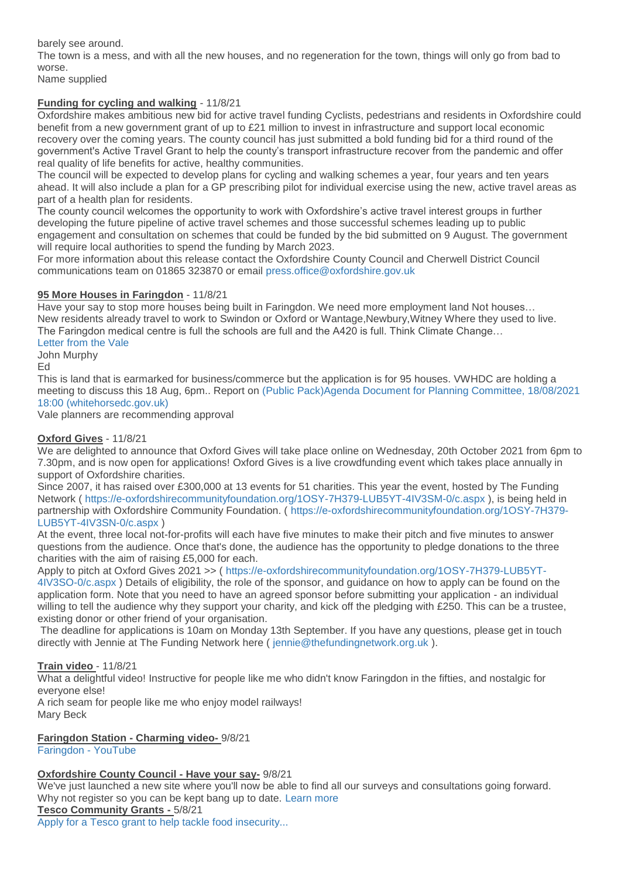barely see around.

The town is a mess, and with all the new houses, and no regeneration for the town, things will only go from bad to worse.

Name supplied

# **Funding for cycling and walking** - 11/8/21

Oxfordshire makes ambitious new bid for active travel funding Cyclists, pedestrians and residents in Oxfordshire could benefit from a new government grant of up to £21 million to invest in infrastructure and support local economic recovery over the coming years. The county council has just submitted a bold funding bid for a third round of the government's Active Travel Grant to help the county's transport infrastructure recover from the pandemic and offer real quality of life benefits for active, healthy communities.

The council will be expected to develop plans for cycling and walking schemes a year, four years and ten years ahead. It will also include a plan for a GP prescribing pilot for individual exercise using the new, active travel areas as part of a health plan for residents.

The county council welcomes the opportunity to work with Oxfordshire's active travel interest groups in further developing the future pipeline of active travel schemes and those successful schemes leading up to public engagement and consultation on schemes that could be funded by the bid submitted on 9 August. The government will require local authorities to spend the funding by March 2023.

For more information about this release contact the Oxfordshire County Council and Cherwell District Council communications team on 01865 323870 or email [press.office@oxfordshire.gov.uk](mailto:press.office@oxfordshire.gov.uk)

# **95 More Houses in Faringdon** - 11/8/21

Have your say to stop more houses being built in Faringdon. We need more employment land Not houses… New residents already travel to work to Swindon or Oxford or Wantage,Newbury,Witney Where they used to live. The Faringdon medical centre is full the schools are full and the A420 is full. Think Climate Change…

[Letter from the Vale](http://weebly-file/1/4/7/6/14765418/rogers_concrete_letter.pdf)

John Murphy Ed

This is land that is earmarked for business/commerce but the application is for 95 houses. VWHDC are holding a meeting to discuss this 18 Aug, 6pm.. Report on [\(Public Pack\)Agenda Document for Planning Committee, 18/08/2021](http://democratic.whitehorsedc.gov.uk/documents/g2862/Public%20reports%20pack%20Wednesday%2018-Aug-2021%2018.00%20Planning%20Committee.pdf?T=10)  [18:00 \(whitehorsedc.gov.uk\)](http://democratic.whitehorsedc.gov.uk/documents/g2862/Public%20reports%20pack%20Wednesday%2018-Aug-2021%2018.00%20Planning%20Committee.pdf?T=10)

Vale planners are recommending approval

## **Oxford Gives** - 11/8/21

We are delighted to announce that Oxford Gives will take place online on Wednesday, 20th October 2021 from 6pm to 7.30pm, and is now open for applications! Oxford Gives is a live crowdfunding event which takes place annually in support of Oxfordshire charities.

Since 2007, it has raised over £300,000 at 13 events for 51 charities. This year the event, hosted by The Funding Network ( <https://e-oxfordshirecommunityfoundation.org/1OSY-7H379-LUB5YT-4IV3SM-0/c.aspx> ), is being held in partnership with Oxfordshire Community Foundation. ( [https://e-oxfordshirecommunityfoundation.org/1OSY-7H379-](https://e-oxfordshirecommunityfoundation.org/1OSY-7H379-LUB5YT-4IV3SN-0/c.aspx) [LUB5YT-4IV3SN-0/c.aspx](https://e-oxfordshirecommunityfoundation.org/1OSY-7H379-LUB5YT-4IV3SN-0/c.aspx) )

At the event, three local not-for-profits will each have five minutes to make their pitch and five minutes to answer questions from the audience. Once that's done, the audience has the opportunity to pledge donations to the three charities with the aim of raising £5,000 for each.

Apply to pitch at Oxford Gives 2021 >> ( [https://e-oxfordshirecommunityfoundation.org/1OSY-7H379-LUB5YT-](https://e-oxfordshirecommunityfoundation.org/1OSY-7H379-LUB5YT-4IV3SO-0/c.aspx)

[4IV3SO-0/c.aspx](https://e-oxfordshirecommunityfoundation.org/1OSY-7H379-LUB5YT-4IV3SO-0/c.aspx) ) Details of eligibility, the role of the sponsor, and guidance on how to apply can be found on the application form. Note that you need to have an agreed sponsor before submitting your application - an individual willing to tell the audience why they support your charity, and kick off the pledging with £250. This can be a trustee, existing donor or other friend of your organisation.

The deadline for applications is 10am on Monday 13th September. If you have any questions, please get in touch directly with Jennie at The Funding Network here ( [jennie@thefundingnetwork.org.uk](mailto:jennie@thefundingnetwork.org.uk) ).

# **Train video** - 11/8/21

What a delightful video! Instructive for people like me who didn't know Faringdon in the fifties, and nostalgic for everyone else!

A rich seam for people like me who enjoy model railways! Mary Beck

**Faringdon Station - Charming video-** 9/8/21

[Faringdon -](https://www.youtube.com/watch?app=desktop&v=Kubu4lskMTQ&fbclid=IwAR1B0nQJgwKoeXbbb2E2FP86mBtL6OLJiLTeO-fSVgCLK40JvCgyNWveLfU) YouTube

# **Oxfordshire County Council - Have your say-** 9/8/21

We've just launched a new site where you'll now be able to find all our surveys and consultations going forward. Why not register so you can be kept bang up to date. [Learn more](https://letstalk.oxfordshire.gov.uk/?utm_source=Residents&utm_campaign=30bd9f179e-EMAIL_CAMPAIGN_2021_08_05&utm_medium=email&utm_term=0_206c6fb447-30bd9f179e-407823897)

### **Tesco Community Grants -** 5/8/21

[Apply for a Tesco grant to help tackle food insecurity...](https://mailchi.mp/cedca6e28a7c/apply-for-a-tesco-grant-to-help-tackle-food-insecurity?e=c0e8848890)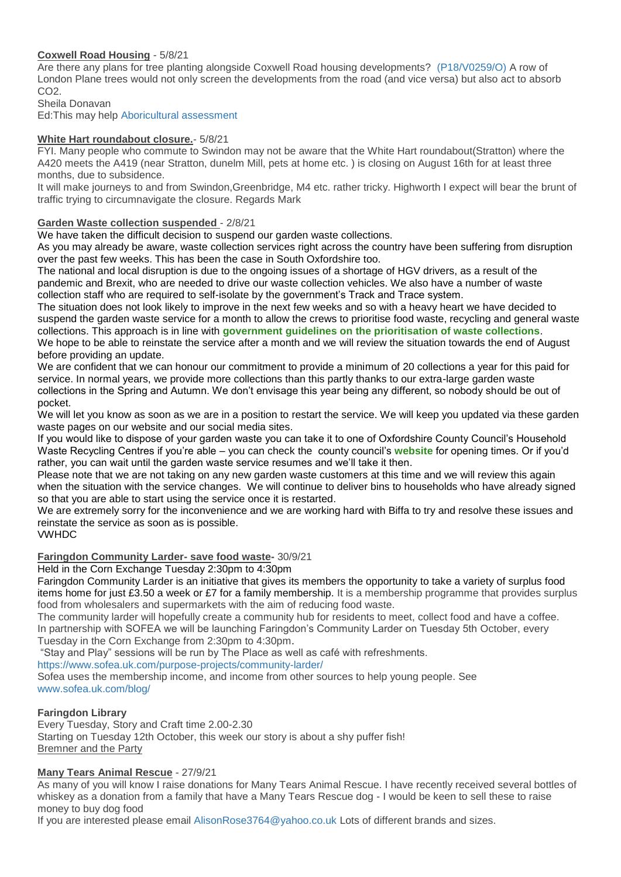# **Coxwell Road Housing** - 5/8/21

Are there any plans for tree planting alongside Coxwell Road housing developments? [\(P18/V0259/O\)](https://data.whitehorsedc.gov.uk/java/support/Main.jsp?MODULE=ApplicationDetails&REF=P18/V0259/O#exactline) A row of London Plane trees would not only screen the developments from the road (and vice versa) but also act to absorb CO<sub>2</sub>

Sheila Donavan

Ed:This may help [Aboricultural assessment](https://data.whitehorsedc.gov.uk/java/support/dynamic_serve.jsp?ID=1512449319&CODE=8FB4E86B531D83165599C0A87C19F790)

# **White Hart roundabout closure.**- 5/8/21

FYI. Many people who commute to Swindon may not be aware that the White Hart roundabout(Stratton) where the A420 meets the A419 (near Stratton, dunelm Mill, pets at home etc. ) is closing on August 16th for at least three months, due to subsidence.

It will make journeys to and from Swindon,Greenbridge, M4 etc. rather tricky. Highworth I expect will bear the brunt of traffic trying to circumnavigate the closure. Regards Mark

## **Garden Waste collection suspended** - 2/8/21

We have taken the difficult decision to suspend our garden waste collections.

As you may already be aware, waste collection services right across the country have been suffering from disruption over the past few weeks. This has been the case in South Oxfordshire too.

The national and local disruption is due to the ongoing issues of a shortage of HGV drivers, as a result of the pandemic and Brexit, who are needed to drive our waste collection vehicles. We also have a number of waste collection staff who are required to self-isolate by the government's Track and Trace system.

The situation does not look likely to improve in the next few weeks and so with a heavy heart we have decided to suspend the garden waste service for a month to allow the crews to prioritise food waste, recycling and general waste collections. This approach is in line with **[government guidelines on the prioritisation of waste collections](https://www.gov.uk/government/publications/waste-collection-services-guidance-for-local-authorities/waste-collection-services-guidance-for-local-authorities)**. We hope to be able to reinstate the service after a month and we will review the situation towards the end of August before providing an update.

We are confident that we can honour our commitment to provide a minimum of 20 collections a year for this paid for service. In normal years, we provide more collections than this partly thanks to our extra-large garden waste collections in the Spring and Autumn. We don't envisage this year being any different, so nobody should be out of pocket.

We will let you know as soon as we are in a position to restart the service. We will keep you updated via these garden waste pages on our website and our social media sites.

If you would like to dispose of your garden waste you can take it to one of Oxfordshire County Council's Household Waste Recycling Centres if you're able – you can check the county council's **[website](https://www.oxfordshire.gov.uk/residents/environment-and-planning/waste-and-recycling/household-waste/household-waste-recycling-centres/visiting-recycling-centres)** for opening times. Or if you'd rather, you can wait until the garden waste service resumes and we'll take it then.

Please note that we are not taking on any new garden waste customers at this time and we will review this again when the situation with the service changes. We will continue to deliver bins to households who have already signed so that you are able to start using the service once it is restarted.

We are extremely sorry for the inconvenience and we are working hard with Biffa to try and resolve these issues and reinstate the service as soon as is possible.

# VWHDC

# **Faringdon Community Larder- save food waste-** 30/9/21

### Held in the Corn Exchange Tuesday 2:30pm to 4:30pm

Faringdon Community Larder is an initiative that gives its members the opportunity to take a variety of surplus food items home for just £3.50 a week or £7 for a family membership. It is a membership programme that provides surplus food from wholesalers and supermarkets with the aim of reducing food waste.

The community larder will hopefully create a community hub for residents to meet, collect food and have a coffee. In partnership with SOFEA we will be launching Faringdon's Community Larder on Tuesday 5th October, every Tuesday in the Corn Exchange from 2:30pm to 4:30pm.

"Stay and Play" sessions will be run by The Place as well as café with refreshments.

<https://www.sofea.uk.com/purpose-projects/community-larder/>

Sofea uses the membership income, and income from other sources to help young people. See [www.sofea.uk.com/blog/](https://www.sofea.uk.com/blog/)

# **Faringdon Library**

Every Tuesday, Story and Craft time 2.00-2.30 Starting on Tuesday 12th October, this week our story is about a shy puffer fish! Bremner and the Party

# **Many Tears Animal Rescue** - 27/9/21

As many of you will know I raise donations for Many Tears Animal Rescue. I have recently received several bottles of whiskey as a donation from a family that have a Many Tears Rescue dog - I would be keen to sell these to raise money to buy dog food

If you are interested please email [AlisonRose3764@yahoo.co.uk](mailto:AlisonRose3764@yahoo.co.uk) Lots of different brands and sizes.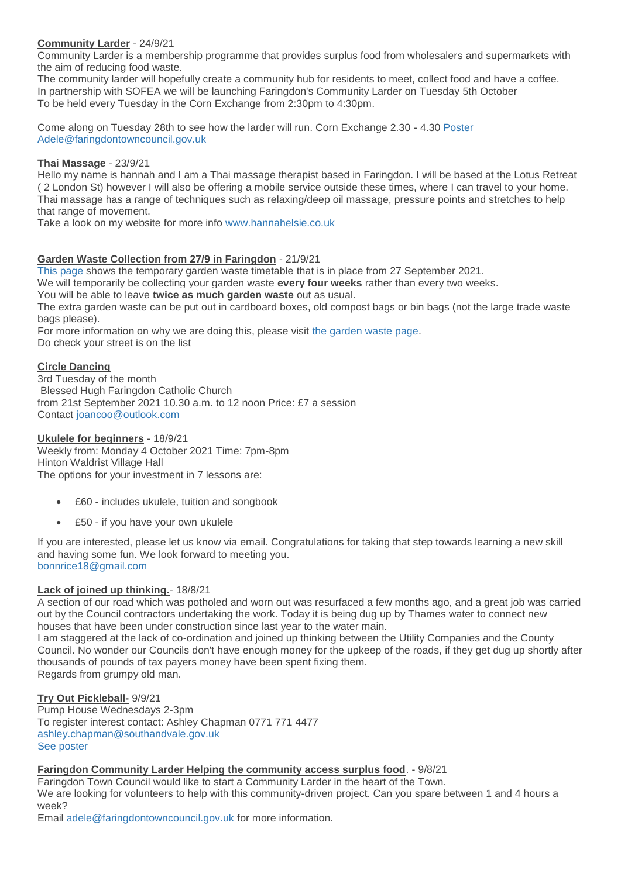# **Community Larder** - 24/9/21

Community Larder is a membership programme that provides surplus food from wholesalers and supermarkets with the aim of reducing food waste.

The community larder will hopefully create a community hub for residents to meet, collect food and have a coffee. In partnership with SOFEA we will be launching Faringdon's Community Larder on Tuesday 5th October To be held every Tuesday in the Corn Exchange from 2:30pm to 4:30pm.

Come along on Tuesday 28th to see how the larder will run. Corn Exchange 2.30 - 4.30 [Poster](http://weebly-file/1/4/7/6/14765418/community_larder.jpg) [Adele@faringdontowncouncil.gov.uk](mailto:Adele@faringdontowncouncil.gov.uk)

### **Thai Massage** - 23/9/21

Hello my name is hannah and I am a Thai massage therapist based in Faringdon. I will be based at the Lotus Retreat ( 2 London St) however I will also be offering a mobile service outside these times, where I can travel to your home. Thai massage has a range of techniques such as relaxing/deep oil massage, pressure points and stretches to help that range of movement.

Take a look on my website for more info [www.hannahelsie.co.uk](http://www.hannahelsie.co.uk/)

# **Garden Waste Collection from 27/9 in Faringdon** - 21/9/21

[This page](https://www.whitehorsedc.gov.uk/vale-of-white-horse-district-council/recycling-rubbish-and-waste/garden-waste/gardenwastecollectionchanges/) shows the temporary garden waste timetable that is in place from 27 September 2021.

We will temporarily be collecting your garden waste **every four weeks** rather than every two weeks.

You will be able to leave **twice as much garden waste** out as usual.

The extra garden waste can be put out in cardboard boxes, old compost bags or bin bags (not the large trade waste bags please).

For more information on why we are doing this, please visit [the garden waste page.](http://www.whitehorsedc.gov.uk/gardenwaste)

Do check your street is on the list

## **Circle Dancing**

3rd Tuesday of the month Blessed Hugh Faringdon Catholic Church from 21st September 2021 10.30 a.m. to 12 noon Price: £7 a session Contact [joancoo@outlook.com](mailto:joancoo@outlook.com)

### **Ukulele for beginners** - 18/9/21

Weekly from: Monday 4 October 2021 Time: 7pm-8pm Hinton Waldrist Village Hall The options for your investment in 7 lessons are:

- £60 includes ukulele, tuition and songbook
- £50 if you have your own ukulele

If you are interested, please let us know via email. Congratulations for taking that step towards learning a new skill and having some fun. We look forward to meeting you. [bonnrice18@gmail.com](mailto:bonnrice18@gmail.com)

# **Lack of joined up thinking.**- 18/8/21

A section of our road which was potholed and worn out was resurfaced a few months ago, and a great job was carried out by the Council contractors undertaking the work. Today it is being dug up by Thames water to connect new houses that have been under construction since last year to the water main.

I am staggered at the lack of co-ordination and joined up thinking between the Utility Companies and the County Council. No wonder our Councils don't have enough money for the upkeep of the roads, if they get dug up shortly after thousands of pounds of tax payers money have been spent fixing them. Regards from grumpy old man.

### **Try Out Pickleball-** 9/9/21

Pump House Wednesdays 2-3pm To register interest contact: Ashley Chapman 0771 771 4477 [ashley.chapman@southandvale.gov.uk](mailto:ashley.chapman@southandvale.gov.uk) [See poster](http://weebly-file/1/4/7/6/14765418/pickleball_15_september_2021.jpg)

### **Faringdon Community Larder Helping the community access surplus food**. - 9/8/21

Faringdon Town Council would like to start a Community Larder in the heart of the Town. We are looking for volunteers to help with this community-driven project. Can you spare between 1 and 4 hours a week?

Email [adele@faringdontowncouncil.gov.uk](mailto:adele@faringdontowncouncil.gov.uk) for more information.